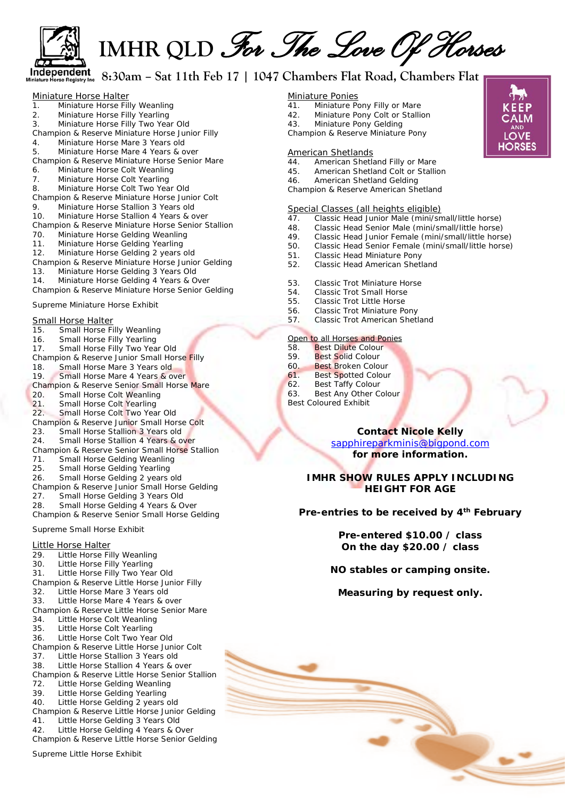

 **IMHR QLD** *For The Love Of Horses*

# **8:30am – Sat 11th Feb 17 | 1047 Chambers Flat Road, Chambers Flat**

| Miniature Horse Halter |                                |  |  |  |  |
|------------------------|--------------------------------|--|--|--|--|
| $\overline{1}$ .       | Miniature Horse Filly Weanling |  |  |  |  |
| -2.                    | Miniature Horse Filly Yearling |  |  |  |  |
| ્ર                     | Miniature Horse Filly Two Year |  |  |  |  |

- 3. Miniature Horse Filly Two Year Old Champion & Reserve Miniature Horse Junior Filly
- 4. Miniature Horse Mare 3 Years old
- 5. Miniature Horse Mare 4 Years & over
- Champion & Reserve Miniature Horse Senior Mare
- 6. Miniature Horse Colt Weanling
- 7. Miniature Horse Colt Yearling
- 8. Miniature Horse Colt Two Year Old
- Champion & Reserve Miniature Horse Junior Colt
- 9. Miniature Horse Stallion 3 Years old
- 10. Miniature Horse Stallion 4 Years & over
- Champion & Reserve Miniature Horse Senior Stallion
- Miniature Horse Gelding Weanling
- 11. Miniature Horse Gelding Yearling
- 12. Miniature Horse Gelding 2 years old
- Champion & Reserve Miniature Horse Junior Gelding
- 13. Miniature Horse Gelding 3 Years Old
- 14. Miniature Horse Gelding 4 Years & Over
- Champion & Reserve Miniature Horse Senior Gelding

### Supreme Miniature Horse Exhibit

# **Small Horse Halter**<br>15. Small Horse Fi

15. Small Horse Filly Weanling 16. Small Horse Filly Yearling 17. Small Horse Filly Two Year Old Champion & Reserve Junior Small Horse Filly<br>18. Small Horse Mare 3 Years old Small Horse Mare 3 Years old 19. Small Horse Mare 4 Years & over Champion & Reserve Senior Small Horse Mare 20. Small Horse Colt Weanling 21. Small Horse Colt Yearling<br>22. Small Horse Colt Two Yea Small Horse Colt Two Year Old Champion & Reserve Junior Small Horse Colt<br>23. Small Horse Stallion 3 Years old Small Horse Stallion 3 Years old 24. Small Horse Stallion 4 Years & over Champion & Reserve Senior Small Horse Stallion 71. Small Horse Gelding Weanling 25. Small Horse Gelding Yearling 26. Small Horse Gelding 2 years old Champion & Reserve Junior Small Horse Gelding Small Horse Gelding 3 Years Old 28. Small Horse Gelding 4 Years & Over Champion & Reserve Senior Small Horse Gelding

Supreme Small Horse Exhibit

Little Horse Halter<br>29. Little Horse Fi 29. Little Horse Filly Weanling<br>30. Little Horse Filly Yearling 30. Little Horse Filly Yearling 31. Little Horse Filly Two Year Old Champion & Reserve Little Horse Junior Filly 32. Little Horse Mare 3 Years old 33. Little Horse Mare 4 Years & over Champion & Reserve Little Horse Senior Mare 34. Little Horse Colt Weanling 35. Little Horse Colt Yearling 36. Little Horse Colt Two Year Old Champion & Reserve Little Horse Junior Colt 37. Little Horse Stallion 3 Years old 38. Little Horse Stallion 4 Years & over Champion & Reserve Little Horse Senior Stallion 72. Little Horse Gelding Weanling 39. Little Horse Gelding Yearling 40. Little Horse Gelding 2 years old Champion & Reserve Little Horse Junior Gelding 41. Little Horse Gelding 3 Years Old 42. Little Horse Gelding 4 Years & Over Champion & Reserve Little Horse Senior Gelding

Supreme Little Horse Exhibit

#### Miniature Ponies

- 41. Miniature Pony Filly or Mare
- 42. Miniature Pony Colt or Stallion
- 43. Miniature Pony Gelding
- Champion & Reserve Miniature Pony

#### American Shetlands

- 44. American Shetland Filly or Mare<br>45. American Shetland Colt or Stalli
- 45. American Shetland Colt or Stallion<br>46. American Shetland Gelding
- 46. American Shetland Gelding
- Champion & Reserve American Shetland

#### Special Classes (all heights eligible)

- 47. Classic Head Junior Male (mini/small/little horse)
- 48. Classic Head Senior Male (mini/small/little horse)
- 49. Classic Head Junior Female (mini/small/little horse)<br>50. Classic Head Senior Female (mini/small/little horse)
- Classic Head Senior Female (mini/small/little horse)
- 51. Classic Head Miniature Pony
- 52. Classic Head American Shetland
- 53. Classic Trot Miniature Horse
- 54. Classic Trot Small Horse<br>55. Classic Trot Little Horse
- 55. Classic Trot Little Horse
- 56. Classic Trot Miniature Pony<br>57. Classic Trot American Shet
- 57. Classic Trot American Shetland

#### Open to all Horses and Ponies

- 58. Best Dilute Colour<br>59. Best Solid Colour
- Best Solid Colour
- 60. Best Broken Colour
- 61. Best Spotted Colour<br>62. Best Taffy Colour
- Best Taffy Colour
- 63. Best Any Other Colour
- Best Coloured Exhibit

## **Contact Nicole Kelly**  [sapphireparkminis@bigpond.com](mailto:sapphireparkminis@bigpond.com) **for more information.**

### **IMHR SHOW RULES APPLY INCLUDING HEIGHT FOR AGE**

#### **Pre-entries to be received by 4th February**

**Pre-entered \$10.00 / class On the day \$20.00 / class**

#### **NO stables or camping onsite.**

**Measuring by request only.**